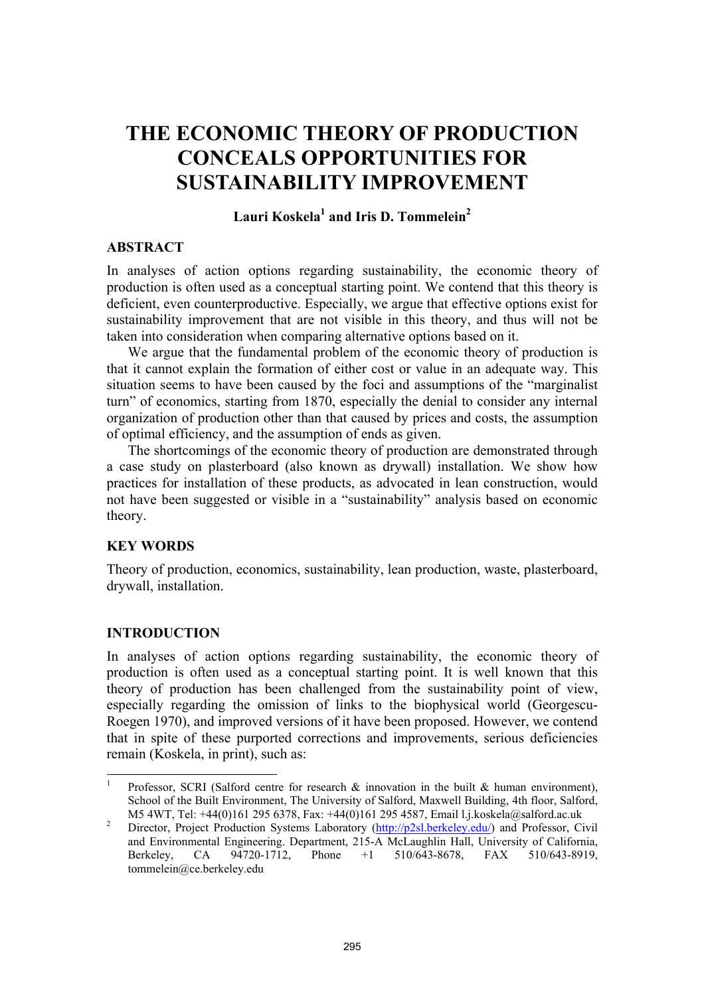# **THE ECONOMIC THEORY OF PRODUCTION CONCEALS OPPORTUNITIES FOR SUSTAINABILITY IMPROVEMENT**

# $\rm{Lauri~Koskela}^1$  and Iris D. Tommelein $^2$

#### **ABSTRACT**

In analyses of action options regarding sustainability, the economic theory of production is often used as a conceptual starting point. We contend that this theory is deficient, even counterproductive. Especially, we argue that effective options exist for sustainability improvement that are not visible in this theory, and thus will not be taken into consideration when comparing alternative options based on it.

We argue that the fundamental problem of the economic theory of production is that it cannot explain the formation of either cost or value in an adequate way. This situation seems to have been caused by the foci and assumptions of the "marginalist turn" of economics, starting from 1870, especially the denial to consider any internal organization of production other than that caused by prices and costs, the assumption of optimal efficiency, and the assumption of ends as given.

The shortcomings of the economic theory of production are demonstrated through a case study on plasterboard (also known as drywall) installation. We show how practices for installation of these products, as advocated in lean construction, would not have been suggested or visible in a "sustainability" analysis based on economic theory.

#### **KEY WORDS**

Theory of production, economics, sustainability, lean production, waste, plasterboard, drywall, installation.

## **INTRODUCTION**

l

In analyses of action options regarding sustainability, the economic theory of production is often used as a conceptual starting point. It is well known that this theory of production has been challenged from the sustainability point of view, especially regarding the omission of links to the biophysical world (Georgescu-Roegen 1970), and improved versions of it have been proposed. However, we contend that in spite of these purported corrections and improvements, serious deficiencies remain (Koskela, in print), such as:

<sup>1</sup> Professor, SCRI (Salford centre for research  $\&$  innovation in the built  $\&$  human environment). School of the Built Environment, The University of Salford, Maxwell Building, 4th floor, Salford, M5 4WT, Tel: +44(0)161 295 6378, Fax: +44(0)161 295 4587, Email l.j.koskela@salford.ac.uk<br>2. Director, President Braduation, Systems, Laboratory (http://p2sl.barkeley.edu/), and Professor, Ci

Director, Project Production Systems Laboratory (http://p2sl.berkeley.edu/) and Professor, Civil and Environmental Engineering. Department, 215-A McLaughlin Hall, University of California, Berkeley, CA 94720-1712, Phone +1 510/643-8678, FAX 510/643-8919, tommelein@ce.berkeley.edu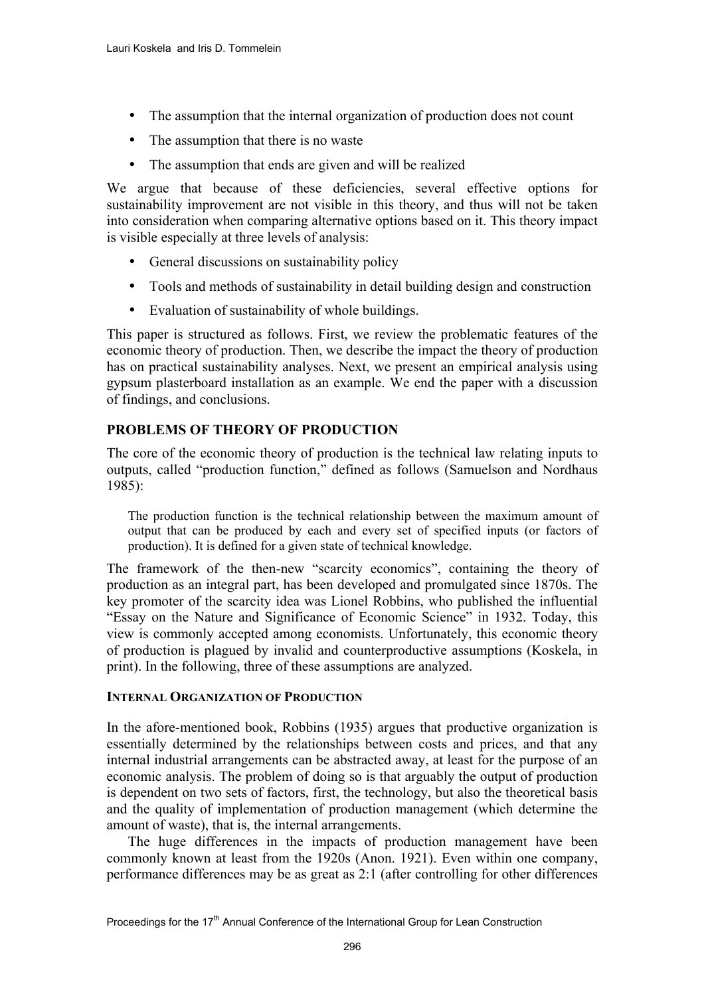- The assumption that the internal organization of production does not count
- The assumption that there is no waste
- The assumption that ends are given and will be realized

We argue that because of these deficiencies, several effective options for sustainability improvement are not visible in this theory, and thus will not be taken into consideration when comparing alternative options based on it. This theory impact is visible especially at three levels of analysis:

- General discussions on sustainability policy
- Tools and methods of sustainability in detail building design and construction
- Evaluation of sustainability of whole buildings.

This paper is structured as follows. First, we review the problematic features of the economic theory of production. Then, we describe the impact the theory of production has on practical sustainability analyses. Next, we present an empirical analysis using gypsum plasterboard installation as an example. We end the paper with a discussion of findings, and conclusions.

# **PROBLEMS OF THEORY OF PRODUCTION**

The core of the economic theory of production is the technical law relating inputs to outputs, called "production function," defined as follows (Samuelson and Nordhaus 1985):

The production function is the technical relationship between the maximum amount of output that can be produced by each and every set of specified inputs (or factors of production). It is defined for a given state of technical knowledge.

The framework of the then-new "scarcity economics", containing the theory of production as an integral part, has been developed and promulgated since 1870s. The key promoter of the scarcity idea was Lionel Robbins, who published the influential "Essay on the Nature and Significance of Economic Science" in 1932. Today, this view is commonly accepted among economists. Unfortunately, this economic theory of production is plagued by invalid and counterproductive assumptions (Koskela, in print). In the following, three of these assumptions are analyzed.

# **INTERNAL ORGANIZATION OF PRODUCTION**

In the afore-mentioned book, Robbins (1935) argues that productive organization is essentially determined by the relationships between costs and prices, and that any internal industrial arrangements can be abstracted away, at least for the purpose of an economic analysis. The problem of doing so is that arguably the output of production is dependent on two sets of factors, first, the technology, but also the theoretical basis and the quality of implementation of production management (which determine the amount of waste), that is, the internal arrangements.

The huge differences in the impacts of production management have been commonly known at least from the 1920s (Anon. 1921). Even within one company, performance differences may be as great as 2:1 (after controlling for other differences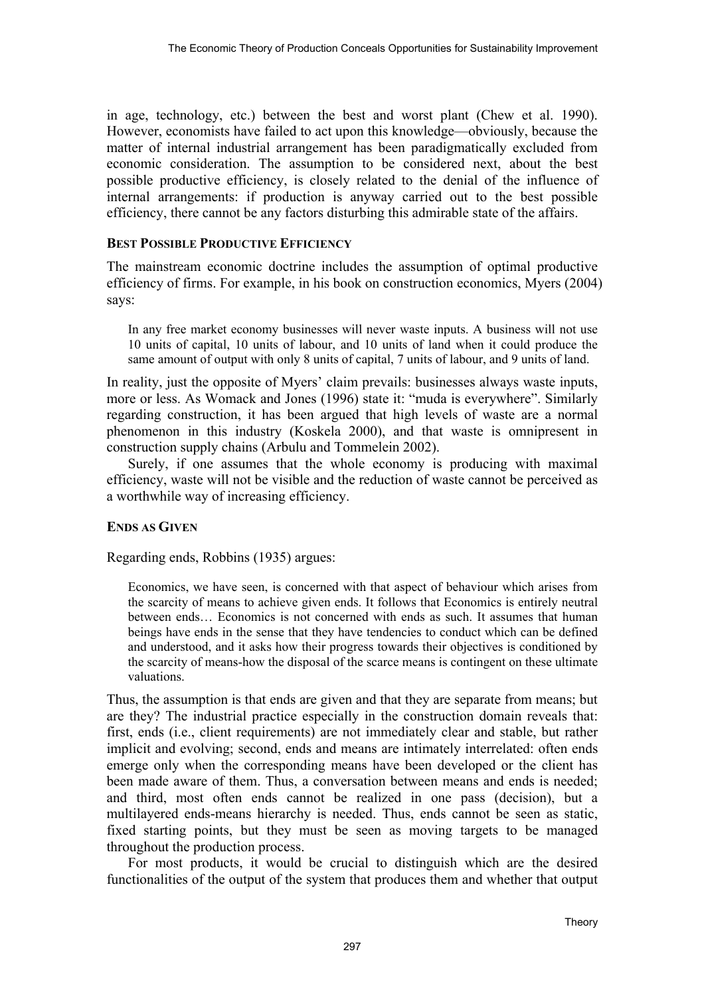in age, technology, etc.) between the best and worst plant (Chew et al. 1990). However, economists have failed to act upon this knowledge—obviously, because the matter of internal industrial arrangement has been paradigmatically excluded from economic consideration. The assumption to be considered next, about the best possible productive efficiency, is closely related to the denial of the influence of internal arrangements: if production is anyway carried out to the best possible efficiency, there cannot be any factors disturbing this admirable state of the affairs.

## **BEST POSSIBLE PRODUCTIVE EFFICIENCY**

The mainstream economic doctrine includes the assumption of optimal productive efficiency of firms. For example, in his book on construction economics, Myers (2004) says:

In any free market economy businesses will never waste inputs. A business will not use 10 units of capital, 10 units of labour, and 10 units of land when it could produce the same amount of output with only 8 units of capital, 7 units of labour, and 9 units of land.

In reality, just the opposite of Myers' claim prevails: businesses always waste inputs, more or less. As Womack and Jones (1996) state it: "muda is everywhere". Similarly regarding construction, it has been argued that high levels of waste are a normal phenomenon in this industry (Koskela 2000), and that waste is omnipresent in construction supply chains (Arbulu and Tommelein 2002).

Surely, if one assumes that the whole economy is producing with maximal efficiency, waste will not be visible and the reduction of waste cannot be perceived as a worthwhile way of increasing efficiency.

# **ENDS AS GIVEN**

Regarding ends, Robbins (1935) argues:

Economics, we have seen, is concerned with that aspect of behaviour which arises from the scarcity of means to achieve given ends. It follows that Economics is entirely neutral between ends… Economics is not concerned with ends as such. It assumes that human beings have ends in the sense that they have tendencies to conduct which can be defined and understood, and it asks how their progress towards their objectives is conditioned by the scarcity of means-how the disposal of the scarce means is contingent on these ultimate valuations.

Thus, the assumption is that ends are given and that they are separate from means; but are they? The industrial practice especially in the construction domain reveals that: first, ends (i.e., client requirements) are not immediately clear and stable, but rather implicit and evolving; second, ends and means are intimately interrelated: often ends emerge only when the corresponding means have been developed or the client has been made aware of them. Thus, a conversation between means and ends is needed; and third, most often ends cannot be realized in one pass (decision), but a multilayered ends-means hierarchy is needed. Thus, ends cannot be seen as static, fixed starting points, but they must be seen as moving targets to be managed throughout the production process.

For most products, it would be crucial to distinguish which are the desired functionalities of the output of the system that produces them and whether that output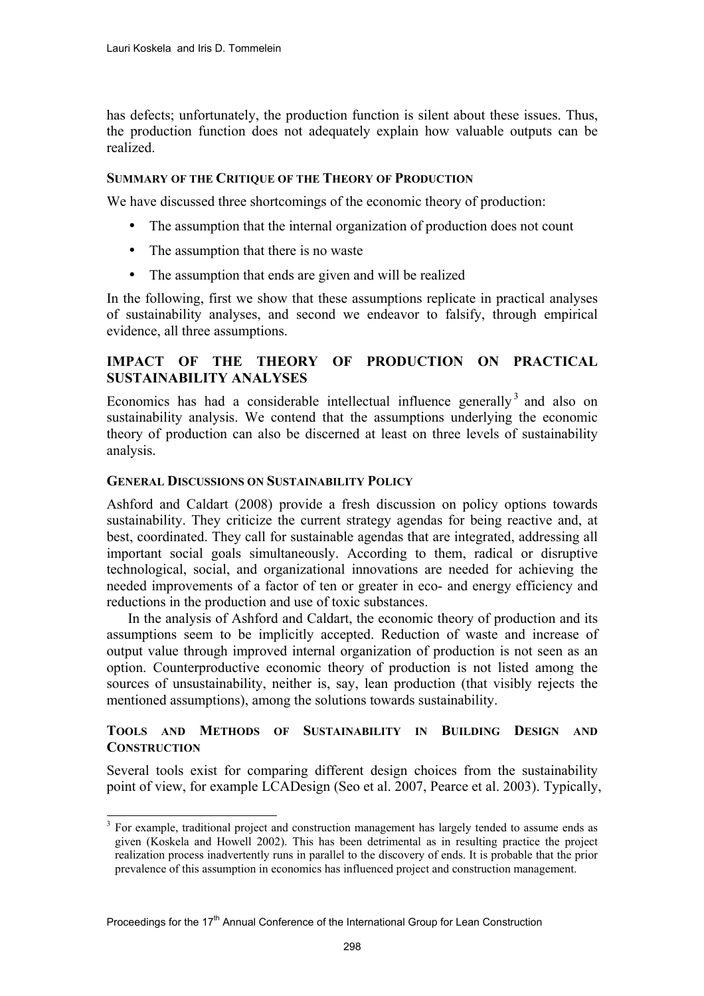has defects; unfortunately, the production function is silent about these issues. Thus, the production function does not adequately explain how valuable outputs can be realized.

## **SUMMARY OF THE CRITIQUE OF THE THEORY OF PRODUCTION**

We have discussed three shortcomings of the economic theory of production:

- The assumption that the internal organization of production does not count
- The assumption that there is no waste
- The assumption that ends are given and will be realized

In the following, first we show that these assumptions replicate in practical analyses of sustainability analyses, and second we endeavor to falsify, through empirical evidence, all three assumptions.

# **IMPACT OF THE THEORY OF PRODUCTION ON PRACTICAL SUSTAINABILITY ANALYSES**

Economics has had a considerable intellectual influence generally  $3$  and also on sustainability analysis. We contend that the assumptions underlying the economic theory of production can also be discerned at least on three levels of sustainability analysis.

## **GENERAL DISCUSSIONS ON SUSTAINABILITY POLICY**

l

Ashford and Caldart (2008) provide a fresh discussion on policy options towards sustainability. They criticize the current strategy agendas for being reactive and, at best, coordinated. They call for sustainable agendas that are integrated, addressing all important social goals simultaneously. According to them, radical or disruptive technological, social, and organizational innovations are needed for achieving the needed improvements of a factor of ten or greater in eco- and energy efficiency and reductions in the production and use of toxic substances.

In the analysis of Ashford and Caldart, the economic theory of production and its assumptions seem to be implicitly accepted. Reduction of waste and increase of output value through improved internal organization of production is not seen as an option. Counterproductive economic theory of production is not listed among the sources of unsustainability, neither is, say, lean production (that visibly rejects the mentioned assumptions), among the solutions towards sustainability.

## **TOOLS AND METHODS OF SUSTAINABILITY IN BUILDING DESIGN AND CONSTRUCTION**

Several tools exist for comparing different design choices from the sustainability point of view, for example LCADesign (Seo et al. 2007, Pearce et al. 2003). Typically,

<sup>&</sup>lt;sup>3</sup> For example, traditional project and construction management has largely tended to assume ends as given (Koskela and Howell 2002). This has been detrimental as in resulting practice the project realization process inadvertently runs in parallel to the discovery of ends. It is probable that the prior prevalence of this assumption in economics has influenced project and construction management.

Proceedings for the 17<sup>th</sup> Annual Conference of the International Group for Lean Construction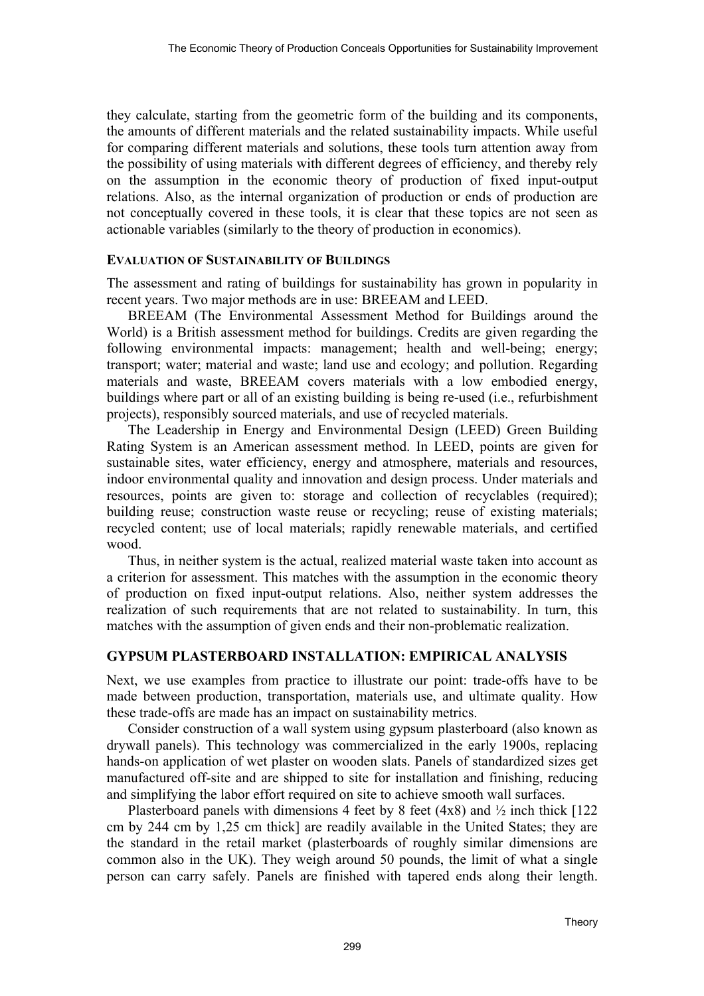they calculate, starting from the geometric form of the building and its components, the amounts of different materials and the related sustainability impacts. While useful for comparing different materials and solutions, these tools turn attention away from the possibility of using materials with different degrees of efficiency, and thereby rely on the assumption in the economic theory of production of fixed input-output relations. Also, as the internal organization of production or ends of production are not conceptually covered in these tools, it is clear that these topics are not seen as actionable variables (similarly to the theory of production in economics).

## **EVALUATION OF SUSTAINABILITY OF BUILDINGS**

The assessment and rating of buildings for sustainability has grown in popularity in recent years. Two major methods are in use: BREEAM and LEED.

BREEAM (The Environmental Assessment Method for Buildings around the World) is a British assessment method for buildings. Credits are given regarding the following environmental impacts: management; health and well-being; energy; transport; water; material and waste; land use and ecology; and pollution. Regarding materials and waste, BREEAM covers materials with a low embodied energy, buildings where part or all of an existing building is being re-used (i.e., refurbishment projects), responsibly sourced materials, and use of recycled materials.

The Leadership in Energy and Environmental Design (LEED) Green Building Rating System is an American assessment method. In LEED, points are given for sustainable sites, water efficiency, energy and atmosphere, materials and resources, indoor environmental quality and innovation and design process. Under materials and resources, points are given to: storage and collection of recyclables (required); building reuse; construction waste reuse or recycling; reuse of existing materials; recycled content; use of local materials; rapidly renewable materials, and certified wood.

Thus, in neither system is the actual, realized material waste taken into account as a criterion for assessment. This matches with the assumption in the economic theory of production on fixed input-output relations. Also, neither system addresses the realization of such requirements that are not related to sustainability. In turn, this matches with the assumption of given ends and their non-problematic realization.

# **GYPSUM PLASTERBOARD INSTALLATION: EMPIRICAL ANALYSIS**

Next, we use examples from practice to illustrate our point: trade-offs have to be made between production, transportation, materials use, and ultimate quality. How these trade-offs are made has an impact on sustainability metrics.

Consider construction of a wall system using gypsum plasterboard (also known as drywall panels). This technology was commercialized in the early 1900s, replacing hands-on application of wet plaster on wooden slats. Panels of standardized sizes get manufactured off-site and are shipped to site for installation and finishing, reducing and simplifying the labor effort required on site to achieve smooth wall surfaces.

Plasterboard panels with dimensions 4 feet by 8 feet (4x8) and  $\frac{1}{2}$  inch thick [122] cm by 244 cm by 1,25 cm thick] are readily available in the United States; they are the standard in the retail market (plasterboards of roughly similar dimensions are common also in the UK). They weigh around 50 pounds, the limit of what a single person can carry safely. Panels are finished with tapered ends along their length.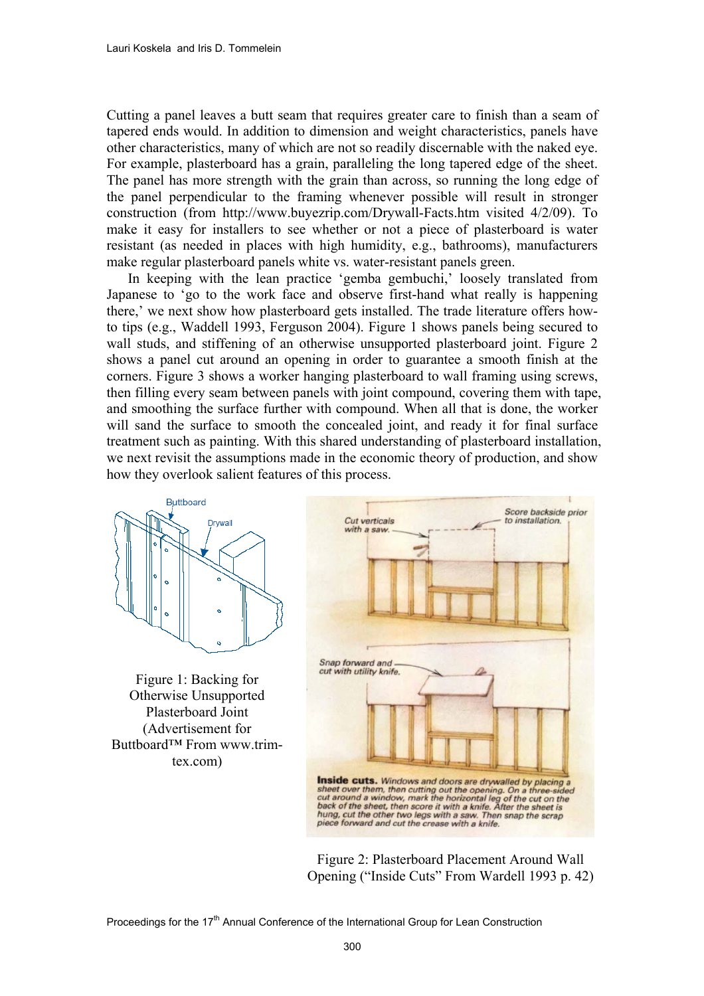Cutting a panel leaves a butt seam that requires greater care to finish than a seam of tapered ends would. In addition to dimension and weight characteristics, panels have other characteristics, many of which are not so readily discernable with the naked eye. For example, plasterboard has a grain, paralleling the long tapered edge of the sheet. The panel has more strength with the grain than across, so running the long edge of the panel perpendicular to the framing whenever possible will result in stronger construction (from http://www.buyezrip.com/Drywall-Facts.htm visited 4/2/09). To make it easy for installers to see whether or not a piece of plasterboard is water resistant (as needed in places with high humidity, e.g., bathrooms), manufacturers make regular plasterboard panels white vs. water-resistant panels green.

In keeping with the lean practice 'gemba gembuchi,' loosely translated from Japanese to 'go to the work face and observe first-hand what really is happening there,' we next show how plasterboard gets installed. The trade literature offers howto tips (e.g., Waddell 1993, Ferguson 2004). Figure 1 shows panels being secured to wall studs, and stiffening of an otherwise unsupported plasterboard joint. Figure 2 shows a panel cut around an opening in order to guarantee a smooth finish at the corners. Figure 3 shows a worker hanging plasterboard to wall framing using screws, then filling every seam between panels with joint compound, covering them with tape, and smoothing the surface further with compound. When all that is done, the worker will sand the surface to smooth the concealed joint, and ready it for final surface treatment such as painting. With this shared understanding of plasterboard installation, we next revisit the assumptions made in the economic theory of production, and show how they overlook salient features of this process.



Figure 1: Backing for Otherwise Unsupported Plasterboard Joint (Advertisement for Buttboard™ From www.trimtex.com)



Figure 2: Plasterboard Placement Around Wall Opening ("Inside Cuts" From Wardell 1993 p. 42)

Proceedings for the 17<sup>th</sup> Annual Conference of the International Group for Lean Construction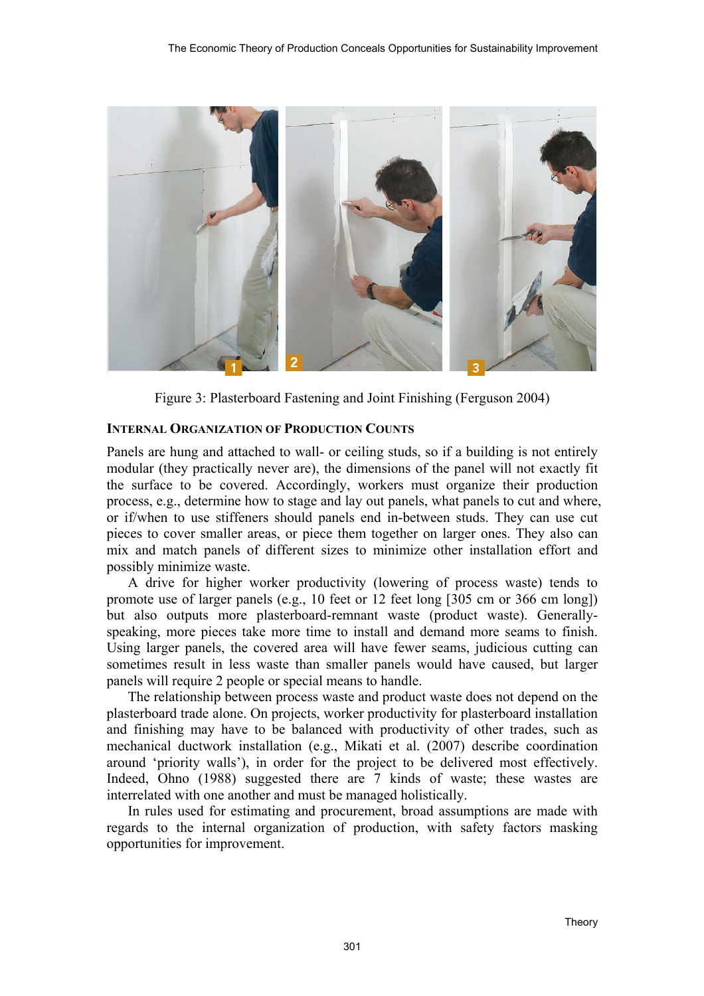

Figure 3: Plasterboard Fastening and Joint Finishing (Ferguson 2004)

## **INTERNAL ORGANIZATION OF PRODUCTION COUNTS**

Panels are hung and attached to wall- or ceiling studs, so if a building is not entirely modular (they practically never are), the dimensions of the panel will not exactly fit the surface to be covered. Accordingly, workers must organize their production process, e.g., determine how to stage and lay out panels, what panels to cut and where, or if/when to use stiffeners should panels end in-between studs. They can use cut pieces to cover smaller areas, or piece them together on larger ones. They also can mix and match panels of different sizes to minimize other installation effort and possibly minimize waste.

A drive for higher worker productivity (lowering of process waste) tends to promote use of larger panels (e.g., 10 feet or 12 feet long [305 cm or 366 cm long]) but also outputs more plasterboard-remnant waste (product waste). Generallyspeaking, more pieces take more time to install and demand more seams to finish. Using larger panels, the covered area will have fewer seams, judicious cutting can sometimes result in less waste than smaller panels would have caused, but larger panels will require 2 people or special means to handle.

The relationship between process waste and product waste does not depend on the plasterboard trade alone. On projects, worker productivity for plasterboard installation and finishing may have to be balanced with productivity of other trades, such as mechanical ductwork installation (e.g., Mikati et al. (2007) describe coordination around 'priority walls'), in order for the project to be delivered most effectively. Indeed, Ohno (1988) suggested there are 7 kinds of waste; these wastes are interrelated with one another and must be managed holistically.

In rules used for estimating and procurement, broad assumptions are made with regards to the internal organization of production, with safety factors masking opportunities for improvement.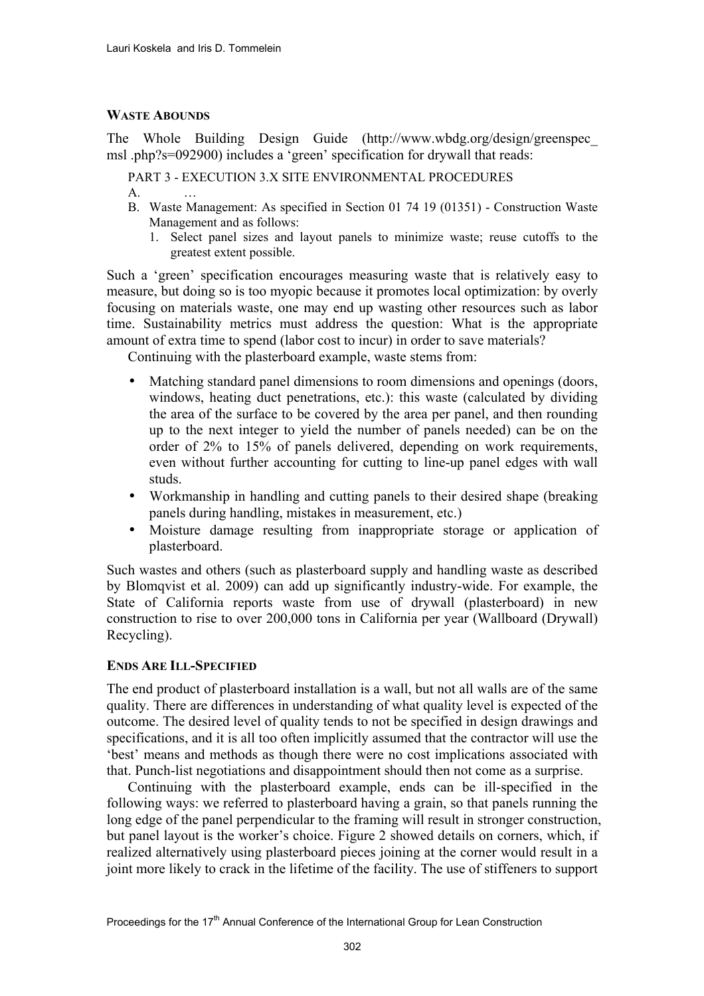## **WASTE ABOUNDS**

The Whole Building Design Guide (http://www.wbdg.org/design/greenspec\_ msl .php?s=092900) includes a 'green' specification for drywall that reads:

PART 3 - EXECUTION 3.X SITE ENVIRONMENTAL PROCEDURES  $A<sub>l</sub>$ 

- B. Waste Management: As specified in Section 01 74 19 (01351) Construction Waste Management and as follows:
	- 1. Select panel sizes and layout panels to minimize waste; reuse cutoffs to the greatest extent possible.

Such a 'green' specification encourages measuring waste that is relatively easy to measure, but doing so is too myopic because it promotes local optimization: by overly focusing on materials waste, one may end up wasting other resources such as labor time. Sustainability metrics must address the question: What is the appropriate amount of extra time to spend (labor cost to incur) in order to save materials?

Continuing with the plasterboard example, waste stems from:

- Matching standard panel dimensions to room dimensions and openings (doors, windows, heating duct penetrations, etc.): this waste (calculated by dividing the area of the surface to be covered by the area per panel, and then rounding up to the next integer to yield the number of panels needed) can be on the order of 2% to 15% of panels delivered, depending on work requirements, even without further accounting for cutting to line-up panel edges with wall studs.
- Workmanship in handling and cutting panels to their desired shape (breaking panels during handling, mistakes in measurement, etc.)
- Moisture damage resulting from inappropriate storage or application of plasterboard.

Such wastes and others (such as plasterboard supply and handling waste as described by Blomqvist et al. 2009) can add up significantly industry-wide. For example, the State of California reports waste from use of drywall (plasterboard) in new construction to rise to over 200,000 tons in California per year (Wallboard (Drywall) Recycling).

## **ENDS ARE ILL-SPECIFIED**

The end product of plasterboard installation is a wall, but not all walls are of the same quality. There are differences in understanding of what quality level is expected of the outcome. The desired level of quality tends to not be specified in design drawings and specifications, and it is all too often implicitly assumed that the contractor will use the 'best' means and methods as though there were no cost implications associated with that. Punch-list negotiations and disappointment should then not come as a surprise.

Continuing with the plasterboard example, ends can be ill-specified in the following ways: we referred to plasterboard having a grain, so that panels running the long edge of the panel perpendicular to the framing will result in stronger construction, but panel layout is the worker's choice. Figure 2 showed details on corners, which, if realized alternatively using plasterboard pieces joining at the corner would result in a joint more likely to crack in the lifetime of the facility. The use of stiffeners to support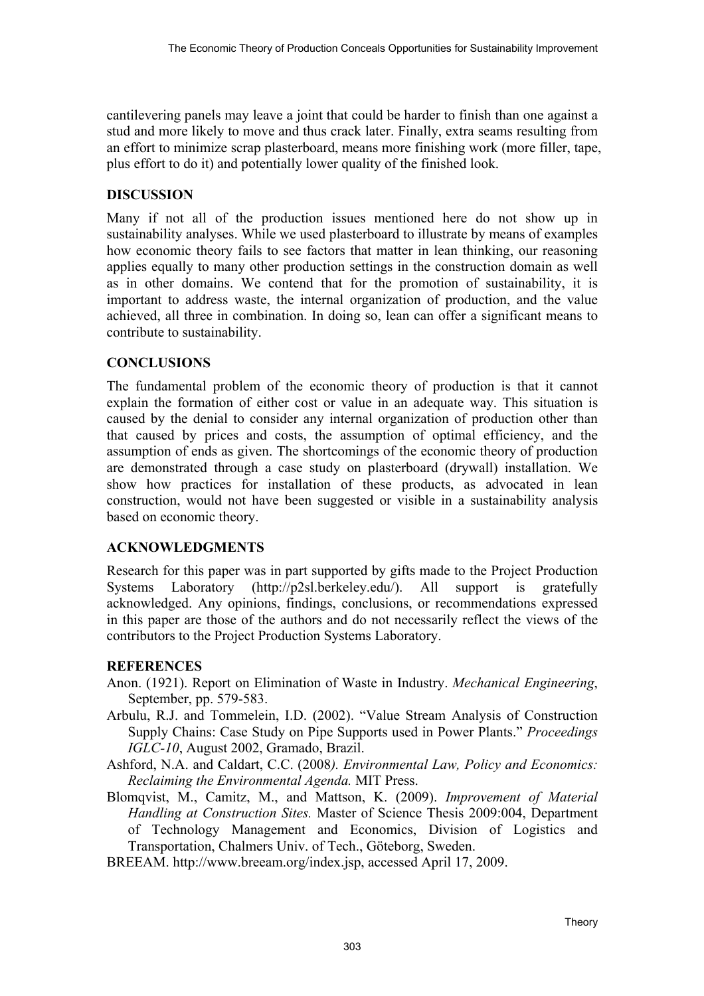cantilevering panels may leave a joint that could be harder to finish than one against a stud and more likely to move and thus crack later. Finally, extra seams resulting from an effort to minimize scrap plasterboard, means more finishing work (more filler, tape, plus effort to do it) and potentially lower quality of the finished look.

# **DISCUSSION**

Many if not all of the production issues mentioned here do not show up in sustainability analyses. While we used plasterboard to illustrate by means of examples how economic theory fails to see factors that matter in lean thinking, our reasoning applies equally to many other production settings in the construction domain as well as in other domains. We contend that for the promotion of sustainability, it is important to address waste, the internal organization of production, and the value achieved, all three in combination. In doing so, lean can offer a significant means to contribute to sustainability.

## **CONCLUSIONS**

The fundamental problem of the economic theory of production is that it cannot explain the formation of either cost or value in an adequate way. This situation is caused by the denial to consider any internal organization of production other than that caused by prices and costs, the assumption of optimal efficiency, and the assumption of ends as given. The shortcomings of the economic theory of production are demonstrated through a case study on plasterboard (drywall) installation. We show how practices for installation of these products, as advocated in lean construction, would not have been suggested or visible in a sustainability analysis based on economic theory.

## **ACKNOWLEDGMENTS**

Research for this paper was in part supported by gifts made to the Project Production Systems Laboratory (http://p2sl.berkeley.edu/). All support is gratefully acknowledged. Any opinions, findings, conclusions, or recommendations expressed in this paper are those of the authors and do not necessarily reflect the views of the contributors to the Project Production Systems Laboratory.

## **REFERENCES**

- Anon. (1921). Report on Elimination of Waste in Industry. *Mechanical Engineering*, September, pp. 579-583.
- Arbulu, R.J. and Tommelein, I.D. (2002). "Value Stream Analysis of Construction Supply Chains: Case Study on Pipe Supports used in Power Plants." *Proceedings IGLC-10*, August 2002, Gramado, Brazil.
- Ashford, N.A. and Caldart, C.C. (2008*). Environmental Law, Policy and Economics: Reclaiming the Environmental Agenda.* MIT Press.
- Blomqvist, M., Camitz, M., and Mattson, K. (2009). *Improvement of Material Handling at Construction Sites.* Master of Science Thesis 2009:004, Department of Technology Management and Economics, Division of Logistics and Transportation, Chalmers Univ. of Tech., Göteborg, Sweden.
- BREEAM. http://www.breeam.org/index.jsp, accessed April 17, 2009.